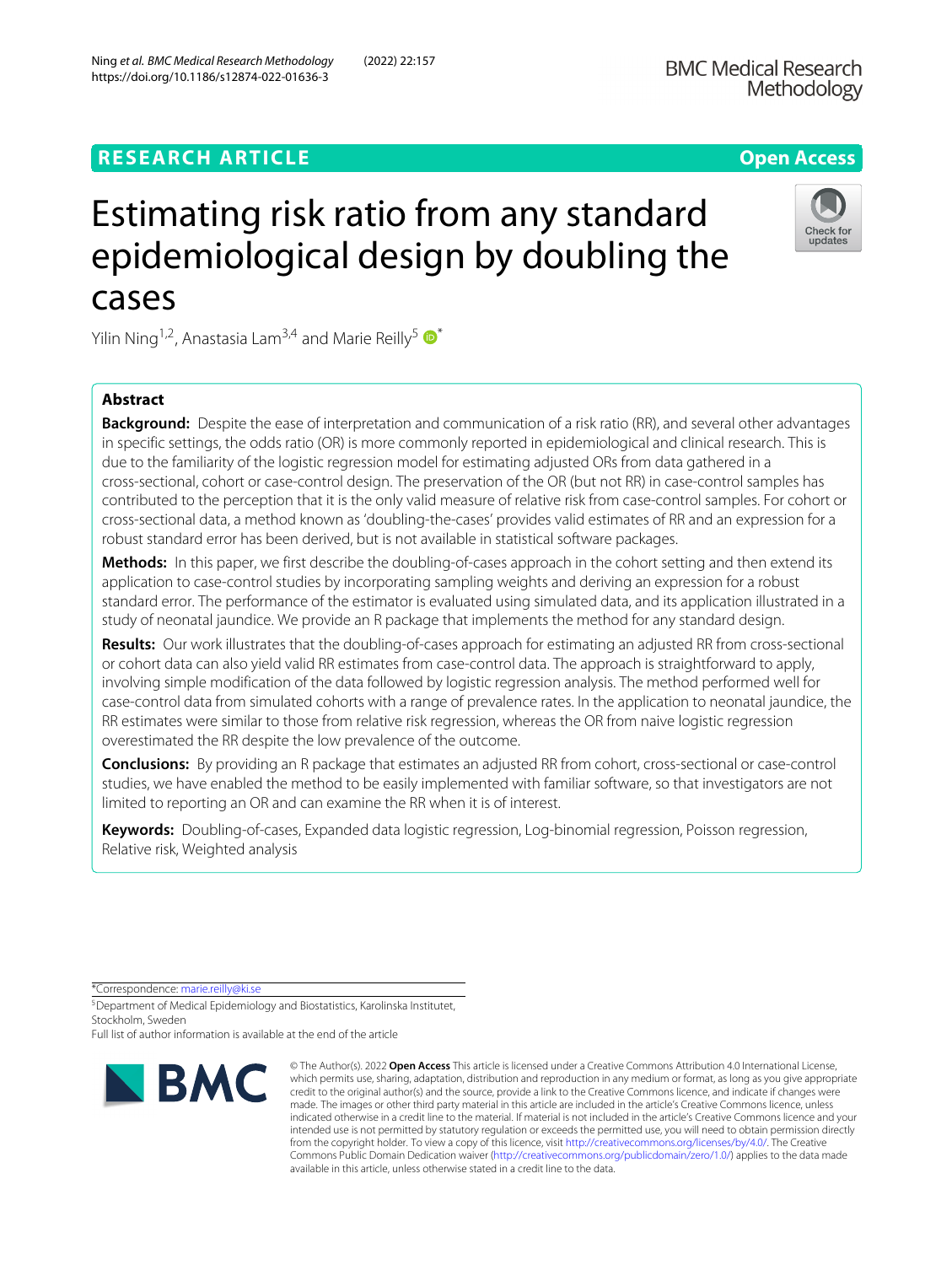## **RESEARCH ARTICLE Open Access**

# Estimating risk ratio from any standard epidemiological design by doubling the cases

Yilin Ning<sup>1,2</sup>, Anastasia Lam<sup>3,4</sup> and Marie Reilly<sup>5</sup>

## **Abstract**

**Background:** Despite the ease of interpretation and communication of a risk ratio (RR), and several other advantages in specific settings, the odds ratio (OR) is more commonly reported in epidemiological and clinical research. This is due to the familiarity of the logistic regression model for estimating adjusted ORs from data gathered in a cross-sectional, cohort or case-control design. The preservation of the OR (but not RR) in case-control samples has contributed to the perception that it is the only valid measure of relative risk from case-control samples. For cohort or cross-sectional data, a method known as 'doubling-the-cases' provides valid estimates of RR and an expression for a robust standard error has been derived, but is not available in statistical software packages.

**Methods:** In this paper, we first describe the doubling-of-cases approach in the cohort setting and then extend its application to case-control studies by incorporating sampling weights and deriving an expression for a robust standard error. The performance of the estimator is evaluated using simulated data, and its application illustrated in a study of neonatal jaundice. We provide an R package that implements the method for any standard design.

**Results:** Our work illustrates that the doubling-of-cases approach for estimating an adjusted RR from cross-sectional or cohort data can also yield valid RR estimates from case-control data. The approach is straightforward to apply, involving simple modification of the data followed by logistic regression analysis. The method performed well for case-control data from simulated cohorts with a range of prevalence rates. In the application to neonatal jaundice, the RR estimates were similar to those from relative risk regression, whereas the OR from naive logistic regression overestimated the RR despite the low prevalence of the outcome.

**Conclusions:** By providing an R package that estimates an adjusted RR from cohort, cross-sectional or case-control studies, we have enabled the method to be easily implemented with familiar software, so that investigators are not limited to reporting an OR and can examine the RR when it is of interest.

**Keywords:** Doubling-of-cases, Expanded data logistic regression, Log-binomial regression, Poisson regression, Relative risk, Weighted analysis

\*Correspondence: [marie.reilly@ki.se](mailto: marie.reilly@ki.se)



© The Author(s). 2022 **Open Access** This article is licensed under a Creative Commons Attribution 4.0 International License,



Check for<br>updates

<sup>5</sup>Department of Medical Epidemiology and Biostatistics, Karolinska Institutet, Stockholm, Sweden

Full list of author information is available at the end of the article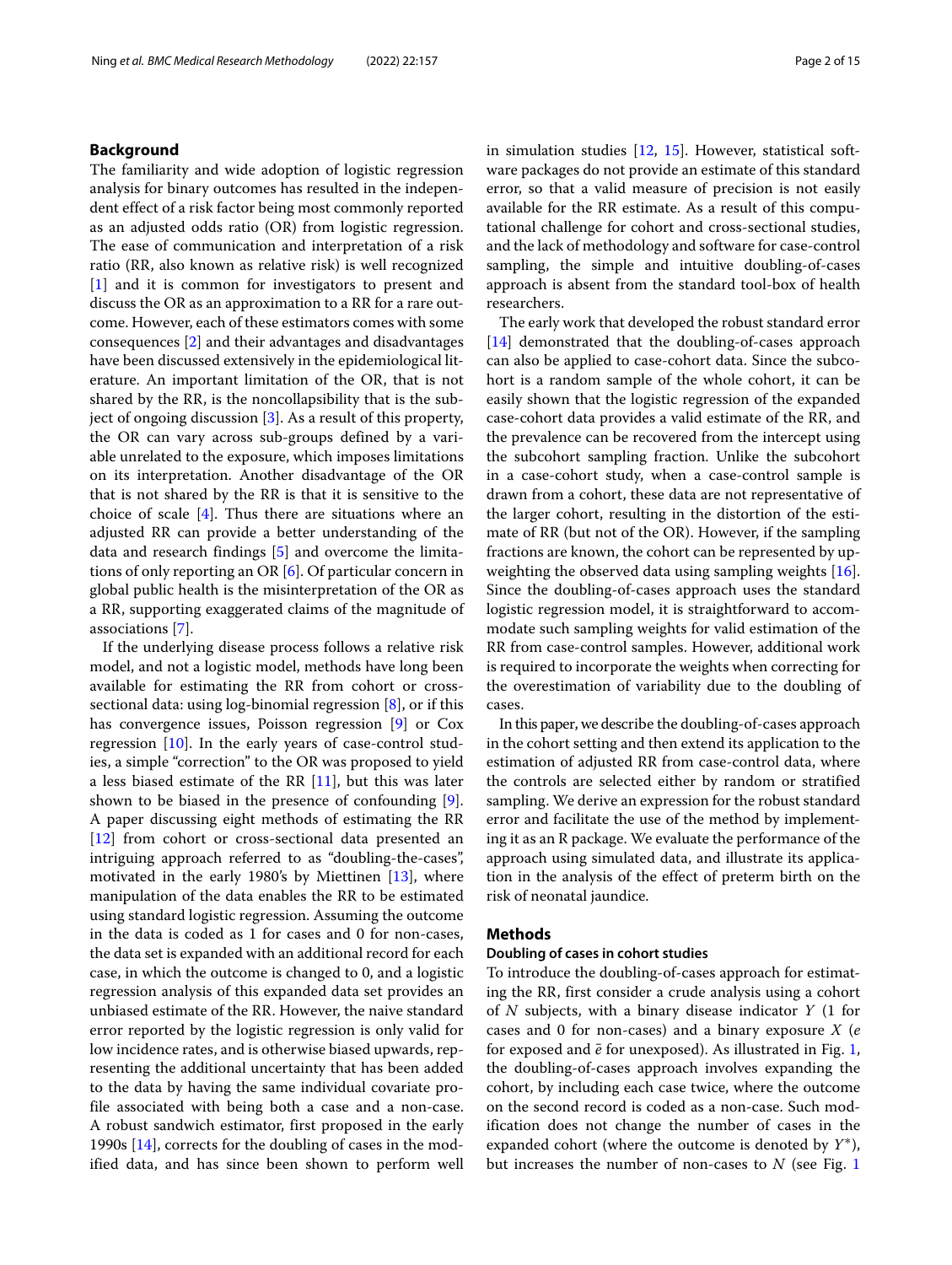## **Background**

The familiarity and wide adoption of logistic regression analysis for binary outcomes has resulted in the independent effect of a risk factor being most commonly reported as an adjusted odds ratio (OR) from logistic regression. The ease of communication and interpretation of a risk ratio (RR, also known as relative risk) is well recognized [\[1\]](#page-14-0) and it is common for investigators to present and discuss the OR as an approximation to a RR for a rare outcome. However, each of these estimators comes with some consequences [\[2\]](#page-14-1) and their advantages and disadvantages have been discussed extensively in the epidemiological literature. An important limitation of the OR, that is not shared by the RR, is the noncollapsibility that is the subject of ongoing discussion [\[3\]](#page-14-2). As a result of this property, the OR can vary across sub-groups defined by a variable unrelated to the exposure, which imposes limitations on its interpretation. Another disadvantage of the OR that is not shared by the RR is that it is sensitive to the choice of scale [\[4\]](#page-14-3). Thus there are situations where an adjusted RR can provide a better understanding of the data and research findings [\[5\]](#page-14-4) and overcome the limitations of only reporting an OR [\[6\]](#page-14-5). Of particular concern in global public health is the misinterpretation of the OR as a RR, supporting exaggerated claims of the magnitude of associations [\[7\]](#page-14-6).

If the underlying disease process follows a relative risk model, and not a logistic model, methods have long been available for estimating the RR from cohort or crosssectional data: using log-binomial regression [\[8\]](#page-14-7), or if this has convergence issues, Poisson regression [\[9\]](#page-14-8) or Cox regression  $[10]$ . In the early years of case-control studies, a simple "correction" to the OR was proposed to yield a less biased estimate of the RR  $[11]$ , but this was later shown to be biased in the presence of confounding [\[9\]](#page-14-8). A paper discussing eight methods of estimating the RR [\[12\]](#page-14-11) from cohort or cross-sectional data presented an intriguing approach referred to as "doubling-the-cases", motivated in the early 1980's by Miettinen [\[13\]](#page-14-12), where manipulation of the data enables the RR to be estimated using standard logistic regression. Assuming the outcome in the data is coded as 1 for cases and 0 for non-cases, the data set is expanded with an additional record for each case, in which the outcome is changed to 0, and a logistic regression analysis of this expanded data set provides an unbiased estimate of the RR. However, the naive standard error reported by the logistic regression is only valid for low incidence rates, and is otherwise biased upwards, representing the additional uncertainty that has been added to the data by having the same individual covariate profile associated with being both a case and a non-case. A robust sandwich estimator, first proposed in the early 1990s [\[14\]](#page-14-13), corrects for the doubling of cases in the modified data, and has since been shown to perform well in simulation studies [\[12,](#page-14-11) [15\]](#page-14-14). However, statistical software packages do not provide an estimate of this standard error, so that a valid measure of precision is not easily available for the RR estimate. As a result of this computational challenge for cohort and cross-sectional studies, and the lack of methodology and software for case-control sampling, the simple and intuitive doubling-of-cases approach is absent from the standard tool-box of health researchers.

The early work that developed the robust standard error [\[14\]](#page-14-13) demonstrated that the doubling-of-cases approach can also be applied to case-cohort data. Since the subcohort is a random sample of the whole cohort, it can be easily shown that the logistic regression of the expanded case-cohort data provides a valid estimate of the RR, and the prevalence can be recovered from the intercept using the subcohort sampling fraction. Unlike the subcohort in a case-cohort study, when a case-control sample is drawn from a cohort, these data are not representative of the larger cohort, resulting in the distortion of the estimate of RR (but not of the OR). However, if the sampling fractions are known, the cohort can be represented by upweighting the observed data using sampling weights [\[16\]](#page-14-15). Since the doubling-of-cases approach uses the standard logistic regression model, it is straightforward to accommodate such sampling weights for valid estimation of the RR from case-control samples. However, additional work is required to incorporate the weights when correcting for the overestimation of variability due to the doubling of cases.

In this paper, we describe the doubling-of-cases approach in the cohort setting and then extend its application to the estimation of adjusted RR from case-control data, where the controls are selected either by random or stratified sampling. We derive an expression for the robust standard error and facilitate the use of the method by implementing it as an R package. We evaluate the performance of the approach using simulated data, and illustrate its application in the analysis of the effect of preterm birth on the risk of neonatal jaundice.

## **Methods**

## **Doubling of cases in cohort studies**

To introduce the doubling-of-cases approach for estimating the RR, first consider a crude analysis using a cohort of *N* subjects, with a binary disease indicator *Y* (1 for cases and 0 for non-cases) and a binary exposure *X* (*e* for exposed and  $\bar{e}$  for unexposed). As illustrated in Fig. [1,](#page-2-0) the doubling-of-cases approach involves expanding the cohort, by including each case twice, where the outcome on the second record is coded as a non-case. Such modification does not change the number of cases in the expanded cohort (where the outcome is denoted by *Y*∗), but increases the number of non-cases to *N* (see Fig. [1](#page-2-0)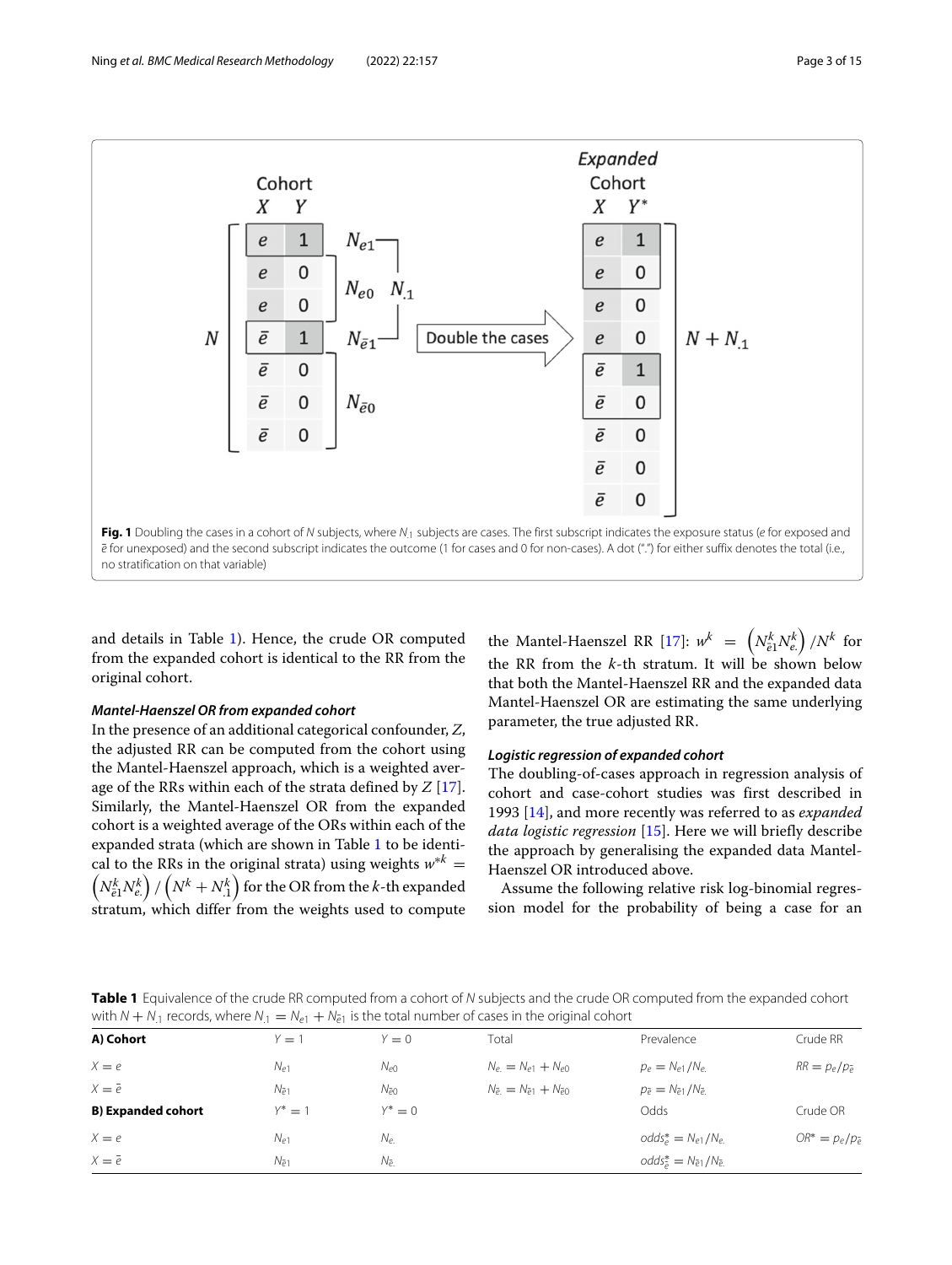

<span id="page-2-0"></span>and details in Table [1\)](#page-2-1). Hence, the crude OR computed from the expanded cohort is identical to the RR from the original cohort.

## *Mantel-Haenszel OR from expanded cohort*

In the presence of an additional categorical confounder, *Z*, the adjusted RR can be computed from the cohort using the Mantel-Haenszel approach, which is a weighted average of the RRs within each of the strata defined by *Z* [\[17\]](#page-14-16). Similarly, the Mantel-Haenszel OR from the expanded cohort is a weighted average of the ORs within each of the expanded strata (which are shown in Table [1](#page-2-1) to be identical to the RRs in the original strata) using weights  $w^{*k}$  =  $\left(N_{\bar{e}1}^k N_{e\cdot}^k \right)/\left(N^k+N_{.1}^k \right)$  for the OR from the *k*-th expanded stratum, which differ from the weights used to compute

the Mantel-Haenszel RR [\[17\]](#page-14-16):  $w^k = \left(N_{\tilde{e}1}^k N_{e.}^k\right)/N^k$  for the RR from the *k*-th stratum. It will be shown below that both the Mantel-Haenszel RR and the expanded data Mantel-Haenszel OR are estimating the same underlying parameter, the true adjusted RR.

## *Logistic regression of expanded cohort*

The doubling-of-cases approach in regression analysis of cohort and case-cohort studies was first described in 1993 [\[14\]](#page-14-13), and more recently was referred to as *expanded data logistic regression* [\[15\]](#page-14-14). Here we will briefly describe the approach by generalising the expanded data Mantel-Haenszel OR introduced above.

Assume the following relative risk log-binomial regression model for the probability of being a case for an

<span id="page-2-1"></span>**Table 1** Equivalence of the crude RR computed from a cohort of N subjects and the crude OR computed from the expanded cohort with  $N + N_1$  records, where  $N_1 = N_{e1} + N_{\bar{e}1}$  is the total number of cases in the original cohort

| A) Cohort                 | $Y = 1$        | $Y = 0$        | Total                                       | Prevalence                                    | Crude RR                 |
|---------------------------|----------------|----------------|---------------------------------------------|-----------------------------------------------|--------------------------|
| $X = e$                   | $N_{e1}$       | $N_{e0}$       | $N_e = N_{e1} + N_{e0}$                     | $p_e = N_{e1}/N_{e1}$                         | $RR = p_e/p_{\bar{e}}$   |
| $X = \overline{e}$        | $N_{\bar{e}1}$ | $N_{\bar{e}0}$ | $N_{\bar{e}} = N_{\bar{e}1} + N_{\bar{e}0}$ | $p_{\bar{e}} = N_{\bar{e}1}/N_{\bar{e}}$      |                          |
| <b>B) Expanded cohort</b> | $Y^* = 1$      | $Y^* = 0$      |                                             | Odds                                          | Crude OR                 |
| $X = e$                   | $N_{e1}$       | $N_e$          |                                             | $odds^*_{\rho} = N_{\rho 1}/N_{\rho}$         | $OR^* = p_e/p_{\bar{e}}$ |
| $X = \overline{e}$        | $N_{\bar{e}1}$ | $N_{\bar{e}}$  |                                             | $odds^*_{\bar{e}} = N_{\bar{e}1}/N_{\bar{e}}$ |                          |
|                           |                |                |                                             |                                               |                          |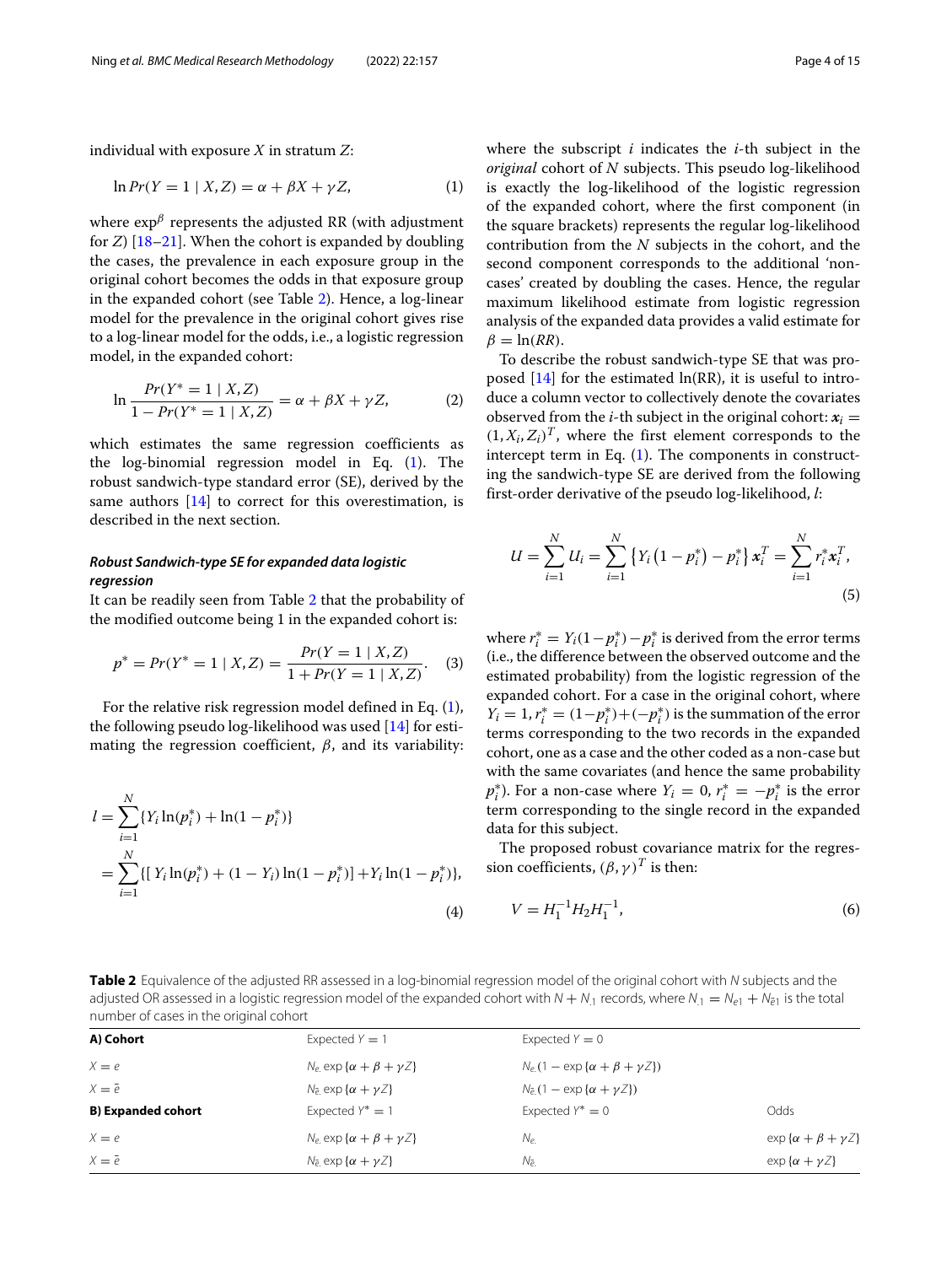individual with exposure *X* in stratum *Z*:

$$
\ln Pr(Y = 1 \mid X, Z) = \alpha + \beta X + \gamma Z,\tag{1}
$$

where  $\exp^{\beta}$  represents the adjusted RR (with adjustment for *Z*) [\[18](#page-14-17)[–21\]](#page-14-18). When the cohort is expanded by doubling the cases, the prevalence in each exposure group in the original cohort becomes the odds in that exposure group in the expanded cohort (see Table [2\)](#page-3-0). Hence, a log-linear model for the prevalence in the original cohort gives rise to a log-linear model for the odds, i.e., a logistic regression model, in the expanded cohort:

$$
\ln \frac{Pr(Y^* = 1 \mid X, Z)}{1 - Pr(Y^* = 1 \mid X, Z)} = \alpha + \beta X + \gamma Z,\tag{2}
$$

which estimates the same regression coefficients as the log-binomial regression model in Eq. [\(1\)](#page-3-1). The robust sandwich-type standard error (SE), derived by the same authors  $[14]$  to correct for this overestimation, is described in the next section.

## *Robust Sandwich-type SE for expanded data logistic regression*

It can be readily seen from Table [2](#page-3-0) that the probability of the modified outcome being 1 in the expanded cohort is:

$$
p^* = Pr(Y^* = 1 | X, Z) = \frac{Pr(Y = 1 | X, Z)}{1 + Pr(Y = 1 | X, Z)}.
$$
 (3)

For the relative risk regression model defined in Eq. [\(1\)](#page-3-1), the following pseudo log-likelihood was used [\[14\]](#page-14-13) for estimating the regression coefficient,  $\beta$ , and its variability:

$$
l = \sum_{i=1}^{N} \{ Y_i \ln(p_i^*) + \ln(1 - p_i^*) \}
$$
  
= 
$$
\sum_{i=1}^{N} \{ [ Y_i \ln(p_i^*) + (1 - Y_i) \ln(1 - p_i^*) ] + Y_i \ln(1 - p_i^*) \},
$$
  
(4)

<span id="page-3-1"></span>where the subscript *i* indicates the *i*-th subject in the *original* cohort of *N* subjects. This pseudo log-likelihood is exactly the log-likelihood of the logistic regression of the expanded cohort, where the first component (in the square brackets) represents the regular log-likelihood contribution from the *N* subjects in the cohort, and the second component corresponds to the additional 'noncases' created by doubling the cases. Hence, the regular maximum likelihood estimate from logistic regression analysis of the expanded data provides a valid estimate for  $\beta = \ln(RR)$ .

To describe the robust sandwich-type SE that was proposed  $[14]$  for the estimated  $\ln(RR)$ , it is useful to introduce a column vector to collectively denote the covariates observed from the *i*-th subject in the original cohort:  $x_i =$  $(1, X_i, Z_i)^T$ , where the first element corresponds to the intercept term in Eq. [\(1\)](#page-3-1). The components in constructing the sandwich-type SE are derived from the following first-order derivative of the pseudo log-likelihood, *l*:

$$
U = \sum_{i=1}^{N} U_i = \sum_{i=1}^{N} \left\{ Y_i \left( 1 - p_i^* \right) - p_i^* \right\} x_i^T = \sum_{i=1}^{N} r_i^* x_i^T,
$$
\n(5)

where  $r_i^* = Y_i(1-p_i^*) - p_i^*$  is derived from the error terms (i.e., the difference between the observed outcome and the estimated probability) from the logistic regression of the expanded cohort. For a case in the original cohort, where  $Y_i = 1, r_i^* = (1 - p_i^*) + (-p_i^*)$  is the summation of the error terms corresponding to the two records in the expanded cohort, one as a case and the other coded as a non-case but with the same covariates (and hence the same probability  $p_i^*$ ). For a non-case where  $Y_i = 0$ ,  $r_i^* = -p_i^*$  is the error term corresponding to the single record in the expanded data for this subject.

The proposed robust covariance matrix for the regression coefficients,  $(\beta, \gamma)^T$  is then:

<span id="page-3-2"></span>
$$
V = H_1^{-1} H_2 H_1^{-1},\tag{6}
$$

<span id="page-3-0"></span>**Table 2** Equivalence of the adjusted RR assessed in a log-binomial regression model of the original cohort with N subjects and the adjusted OR assessed in a logistic regression model of the expanded cohort with  $N + N_1$  records, where  $N_1 = N_{e1} + N_{\bar{e}1}$  is the total number of cases in the original cohort

| A) Cohort                 | Expected $Y = 1$                          | Expected $Y = 0$                                |                                   |
|---------------------------|-------------------------------------------|-------------------------------------------------|-----------------------------------|
| $X = e$                   | $N_e$ exp { $\alpha + \beta + \gamma Z$ } | $N_e(1 - \exp{\alpha + \beta + \gamma Z})$      |                                   |
| $X = \overline{e}$        | $N_{\bar{e}}$ exp $\{\alpha + \gamma Z\}$ | $N_{\overline{e}}(1 - \exp{\alpha + \gamma Z})$ |                                   |
| <b>B) Expanded cohort</b> | Expected $Y^* = 1$                        | Expected $Y^* = 0$                              | Odds                              |
| $X = e$                   | $N_e$ exp $\{\alpha + \beta + \gamma Z\}$ | $N_e$                                           | $\exp{\alpha + \beta + \gamma Z}$ |
| $X = \overline{e}$        | $N_{\bar{e}}$ exp $\{\alpha + \gamma Z\}$ | Nə.                                             | $\exp{\alpha + \gamma Z}$         |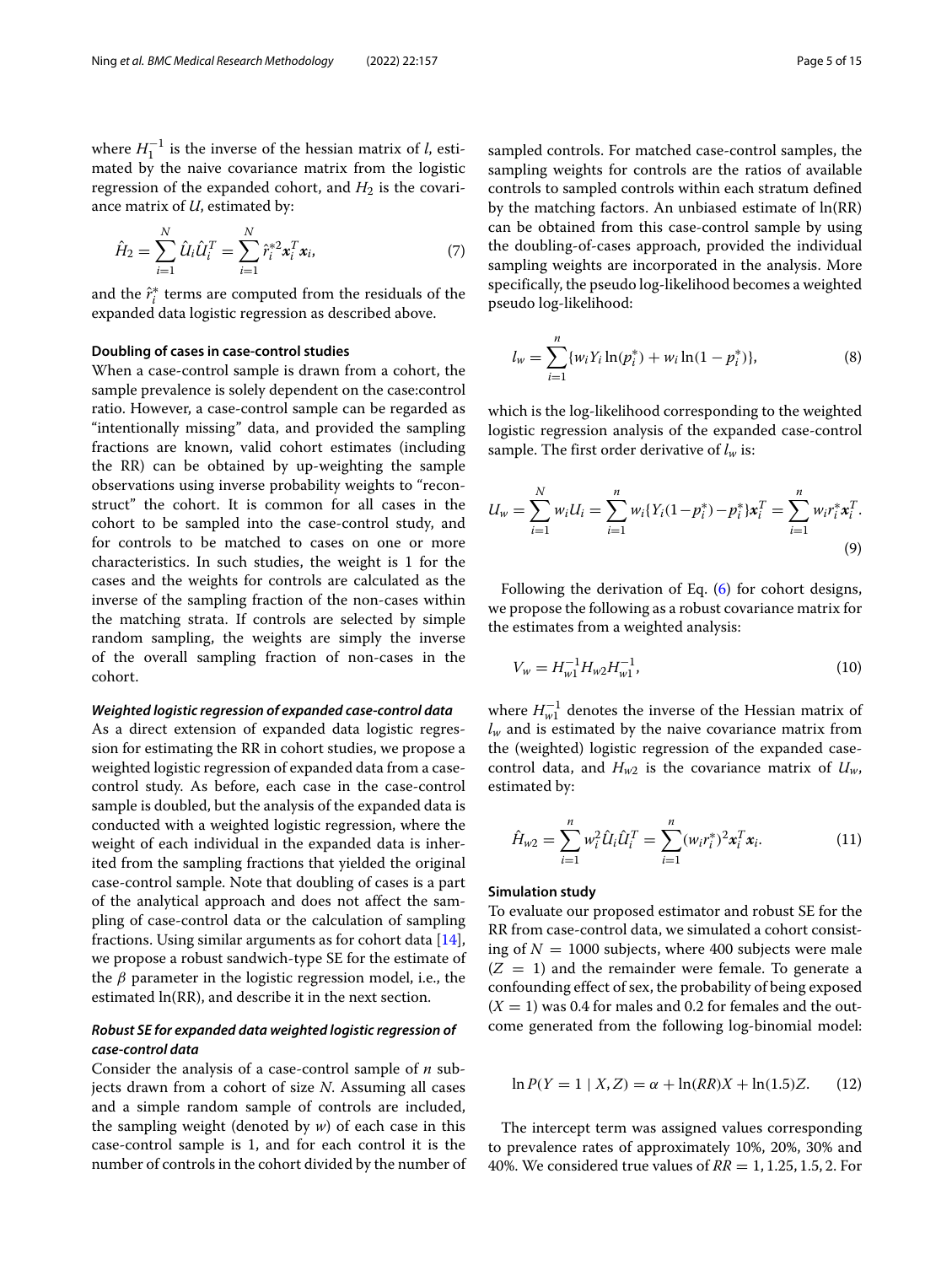where  $H_1^{-1}$  is the inverse of the hessian matrix of *l*, estimated by the naive covariance matrix from the logistic regression of the expanded cohort, and  $H_2$  is the covariance matrix of *U*, estimated by:

$$
\hat{H}_2 = \sum_{i=1}^{N} \hat{U}_i \hat{U}_i^T = \sum_{i=1}^{N} \hat{r}_i^{*2} \mathbf{x}_i^T \mathbf{x}_i, \tag{7}
$$

and the  $\hat{r}_i^*$  terms are computed from the residuals of the expanded data logistic regression as described above.

## **Doubling of cases in case-control studies**

When a case-control sample is drawn from a cohort, the sample prevalence is solely dependent on the case:control ratio. However, a case-control sample can be regarded as "intentionally missing" data, and provided the sampling fractions are known, valid cohort estimates (including the RR) can be obtained by up-weighting the sample observations using inverse probability weights to "reconstruct" the cohort. It is common for all cases in the cohort to be sampled into the case-control study, and for controls to be matched to cases on one or more characteristics. In such studies, the weight is 1 for the cases and the weights for controls are calculated as the inverse of the sampling fraction of the non-cases within the matching strata. If controls are selected by simple random sampling, the weights are simply the inverse of the overall sampling fraction of non-cases in the cohort.

## *Weighted logistic regression of expanded case-control data*

As a direct extension of expanded data logistic regression for estimating the RR in cohort studies, we propose a weighted logistic regression of expanded data from a casecontrol study. As before, each case in the case-control sample is doubled, but the analysis of the expanded data is conducted with a weighted logistic regression, where the weight of each individual in the expanded data is inherited from the sampling fractions that yielded the original case-control sample. Note that doubling of cases is a part of the analytical approach and does not affect the sampling of case-control data or the calculation of sampling fractions. Using similar arguments as for cohort data [\[14\]](#page-14-13), we propose a robust sandwich-type SE for the estimate of the  $\beta$  parameter in the logistic regression model, i.e., the estimated ln(RR), and describe it in the next section.

## *Robust SE for expanded data weighted logistic regression of case-control data*

Consider the analysis of a case-control sample of *n* subjects drawn from a cohort of size *N*. Assuming all cases and a simple random sample of controls are included, the sampling weight (denoted by *w*) of each case in this case-control sample is 1, and for each control it is the number of controls in the cohort divided by the number of sampled controls. For matched case-control samples, the sampling weights for controls are the ratios of available controls to sampled controls within each stratum defined by the matching factors. An unbiased estimate of ln(RR) can be obtained from this case-control sample by using the doubling-of-cases approach, provided the individual sampling weights are incorporated in the analysis. More specifically, the pseudo log-likelihood becomes a weighted pseudo log-likelihood:

$$
l_{w} = \sum_{i=1}^{n} \{w_{i} Y_{i} \ln(p_{i}^{*}) + w_{i} \ln(1-p_{i}^{*})\},\tag{8}
$$

which is the log-likelihood corresponding to the weighted logistic regression analysis of the expanded case-control sample. The first order derivative of  $l_w$  is:

$$
U_w = \sum_{i=1}^{N} w_i U_i = \sum_{i=1}^{n} w_i \{ Y_i (1 - p_i^*) - p_i^* \} x_i^T = \sum_{i=1}^{n} w_i r_i^* x_i^T.
$$
\n(9)

Following the derivation of Eq. [\(6\)](#page-3-2) for cohort designs, we propose the following as a robust covariance matrix for the estimates from a weighted analysis:

$$
V_w = H_{w1}^{-1} H_{w2} H_{w1}^{-1}, \tag{10}
$$

where *H*−<sup>1</sup> *<sup>w</sup>*<sup>1</sup> denotes the inverse of the Hessian matrix of  $l_w$  and is estimated by the naive covariance matrix from the (weighted) logistic regression of the expanded casecontrol data, and  $H_{w2}$  is the covariance matrix of  $U_w$ , estimated by:

$$
\hat{H}_{w2} = \sum_{i=1}^{n} w_i^2 \hat{U}_i \hat{U}_i^T = \sum_{i=1}^{n} (w_i r_i^*)^2 \mathbf{x}_i^T \mathbf{x}_i.
$$
 (11)

## **Simulation study**

To evaluate our proposed estimator and robust SE for the RR from case-control data, we simulated a cohort consisting of  $N = 1000$  subjects, where 400 subjects were male  $(Z = 1)$  and the remainder were female. To generate a confounding effect of sex, the probability of being exposed  $(X = 1)$  was 0.4 for males and 0.2 for females and the outcome generated from the following log-binomial model:

$$
\ln P(Y = 1 \mid X, Z) = \alpha + \ln(RR)X + \ln(1.5)Z.
$$
 (12)

The intercept term was assigned values corresponding to prevalence rates of approximately 10%, 20%, 30% and 40%. We considered true values of *RR* = 1, 1.25, 1.5, 2. For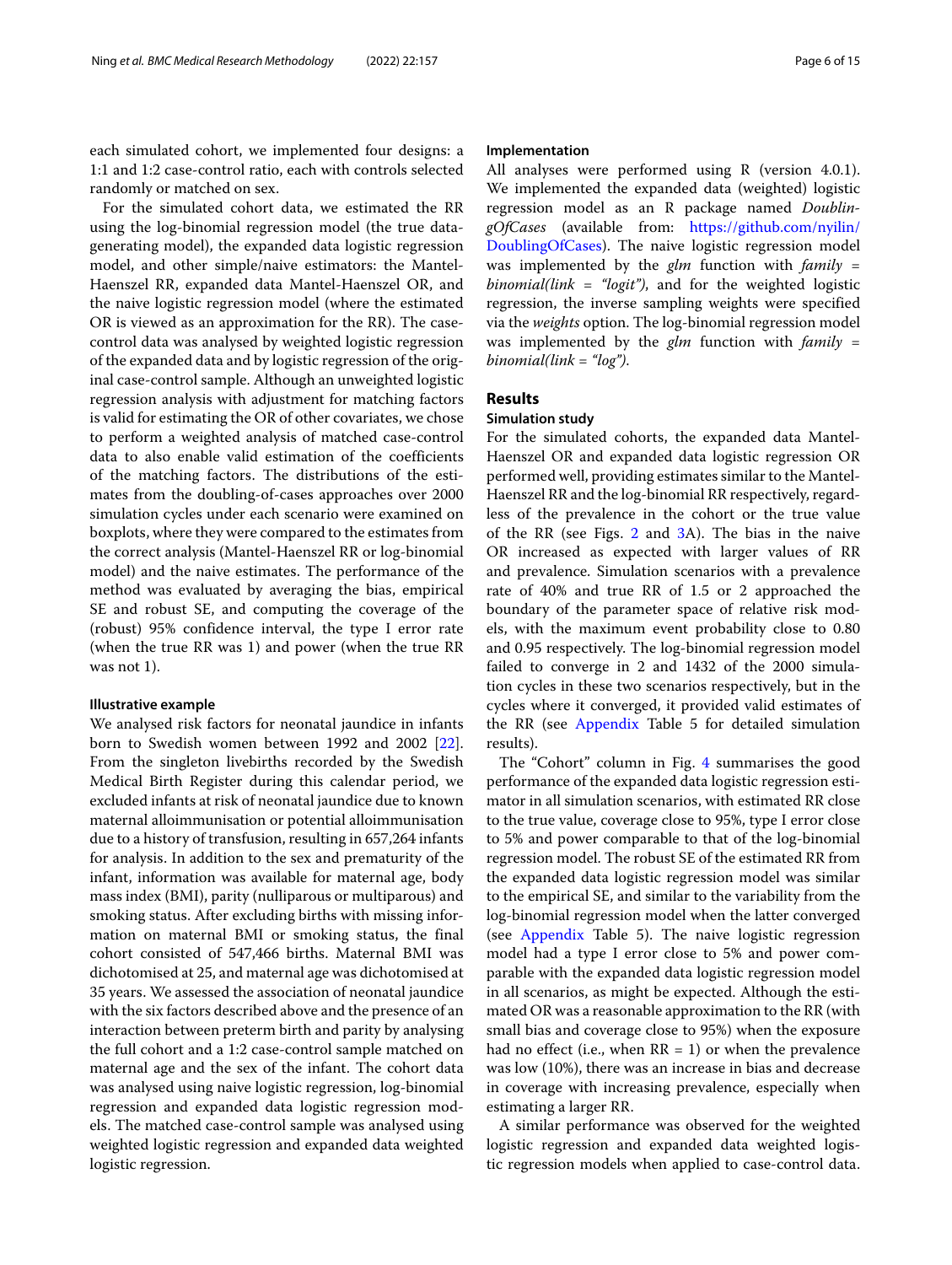each simulated cohort, we implemented four designs: a 1:1 and 1:2 case-control ratio, each with controls selected randomly or matched on sex.

For the simulated cohort data, we estimated the RR using the log-binomial regression model (the true datagenerating model), the expanded data logistic regression model, and other simple/naive estimators: the Mantel-Haenszel RR, expanded data Mantel-Haenszel OR, and the naive logistic regression model (where the estimated OR is viewed as an approximation for the RR). The casecontrol data was analysed by weighted logistic regression of the expanded data and by logistic regression of the original case-control sample. Although an unweighted logistic regression analysis with adjustment for matching factors is valid for estimating the OR of other covariates, we chose to perform a weighted analysis of matched case-control data to also enable valid estimation of the coefficients of the matching factors. The distributions of the estimates from the doubling-of-cases approaches over 2000 simulation cycles under each scenario were examined on boxplots, where they were compared to the estimates from the correct analysis (Mantel-Haenszel RR or log-binomial model) and the naive estimates. The performance of the method was evaluated by averaging the bias, empirical SE and robust SE, and computing the coverage of the (robust) 95% confidence interval, the type I error rate (when the true RR was 1) and power (when the true RR was not 1).

## **Illustrative example**

We analysed risk factors for neonatal jaundice in infants born to Swedish women between 1992 and 2002 [\[22\]](#page-14-19). From the singleton livebirths recorded by the Swedish Medical Birth Register during this calendar period, we excluded infants at risk of neonatal jaundice due to known maternal alloimmunisation or potential alloimmunisation due to a history of transfusion, resulting in 657,264 infants for analysis. In addition to the sex and prematurity of the infant, information was available for maternal age, body mass index (BMI), parity (nulliparous or multiparous) and smoking status. After excluding births with missing information on maternal BMI or smoking status, the final cohort consisted of 547,466 births. Maternal BMI was dichotomised at 25, and maternal age was dichotomised at 35 years. We assessed the association of neonatal jaundice with the six factors described above and the presence of an interaction between preterm birth and parity by analysing the full cohort and a 1:2 case-control sample matched on maternal age and the sex of the infant. The cohort data was analysed using naive logistic regression, log-binomial regression and expanded data logistic regression models. The matched case-control sample was analysed using weighted logistic regression and expanded data weighted logistic regression.

## **Implementation**

All analyses were performed using R (version 4.0.1). We implemented the expanded data (weighted) logistic regression model as an R package named *DoublingOfCases* (available from: [https://github.com/nyilin/](https://github.com/nyilin/DoublingOfCases) [DoublingOfCases\)](https://github.com/nyilin/DoublingOfCases). The naive logistic regression model was implemented by the *glm* function with *family = binomial(link = "logit")*, and for the weighted logistic regression, the inverse sampling weights were specified via the *weights* option. The log-binomial regression model was implemented by the *glm* function with *family = binomial(link = "log")*.

## **Results**

## **Simulation study**

For the simulated cohorts, the expanded data Mantel-Haenszel OR and expanded data logistic regression OR performed well, providing estimates similar to the Mantel-Haenszel RR and the log-binomial RR respectively, regardless of the prevalence in the cohort or the true value of the RR (see Figs. [2](#page-6-0) and [3A](#page-7-0)). The bias in the naive OR increased as expected with larger values of RR and prevalence. Simulation scenarios with a prevalence rate of 40% and true RR of 1.5 or 2 approached the boundary of the parameter space of relative risk models, with the maximum event probability close to 0.80 and 0.95 respectively. The log-binomial regression model failed to converge in 2 and 1432 of the 2000 simulation cycles in these two scenarios respectively, but in the cycles where it converged, it provided valid estimates of the RR (see [Appendix](#page-10-0) Table 5 for detailed simulation results).

The "Cohort" column in Fig. [4](#page-8-0) summarises the good performance of the expanded data logistic regression estimator in all simulation scenarios, with estimated RR close to the true value, coverage close to 95%, type I error close to 5% and power comparable to that of the log-binomial regression model. The robust SE of the estimated RR from the expanded data logistic regression model was similar to the empirical SE, and similar to the variability from the log-binomial regression model when the latter converged (see [Appendix](#page-10-0) Table 5). The naive logistic regression model had a type I error close to 5% and power comparable with the expanded data logistic regression model in all scenarios, as might be expected. Although the estimated OR was a reasonable approximation to the RR (with small bias and coverage close to 95%) when the exposure had no effect (i.e., when  $RR = 1$ ) or when the prevalence was low (10%), there was an increase in bias and decrease in coverage with increasing prevalence, especially when estimating a larger RR.

A similar performance was observed for the weighted logistic regression and expanded data weighted logistic regression models when applied to case-control data.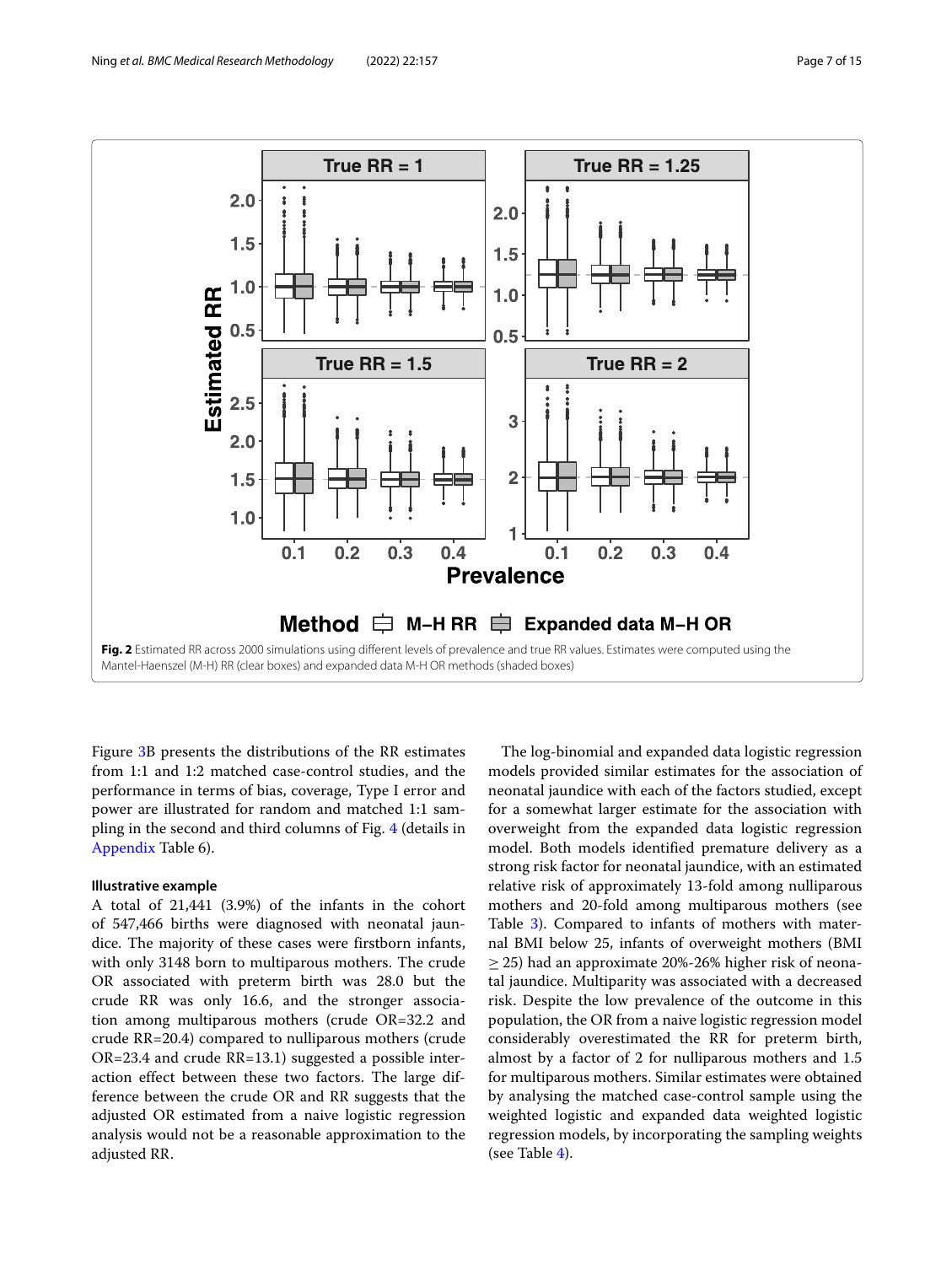

<span id="page-6-0"></span>Figure [3B](#page-7-0) presents the distributions of the RR estimates from 1:1 and 1:2 matched case-control studies, and the performance in terms of bias, coverage, Type I error and power are illustrated for random and matched 1:1 sampling in the second and third columns of Fig. [4](#page-8-0) (details in [Appendix](#page-10-0) Table 6).

## **Illustrative example**

A total of 21,441 (3.9%) of the infants in the cohort of 547,466 births were diagnosed with neonatal jaundice. The majority of these cases were firstborn infants, with only 3148 born to multiparous mothers. The crude OR associated with preterm birth was 28.0 but the crude RR was only 16.6, and the stronger association among multiparous mothers (crude OR=32.2 and crude RR=20.4) compared to nulliparous mothers (crude OR=23.4 and crude RR=13.1) suggested a possible interaction effect between these two factors. The large difference between the crude OR and RR suggests that the adjusted OR estimated from a naive logistic regression analysis would not be a reasonable approximation to the adjusted RR.

The log-binomial and expanded data logistic regression models provided similar estimates for the association of neonatal jaundice with each of the factors studied, except for a somewhat larger estimate for the association with overweight from the expanded data logistic regression model. Both models identified premature delivery as a strong risk factor for neonatal jaundice, with an estimated relative risk of approximately 13-fold among nulliparous mothers and 20-fold among multiparous mothers (see Table [3\)](#page-9-0). Compared to infants of mothers with maternal BMI below 25, infants of overweight mothers (BMI  $\geq$  25) had an approximate 20%-26% higher risk of neonatal jaundice. Multiparity was associated with a decreased risk. Despite the low prevalence of the outcome in this population, the OR from a naive logistic regression model considerably overestimated the RR for preterm birth, almost by a factor of 2 for nulliparous mothers and 1.5 for multiparous mothers. Similar estimates were obtained by analysing the matched case-control sample using the weighted logistic and expanded data weighted logistic regression models, by incorporating the sampling weights (see Table [4\)](#page-9-1).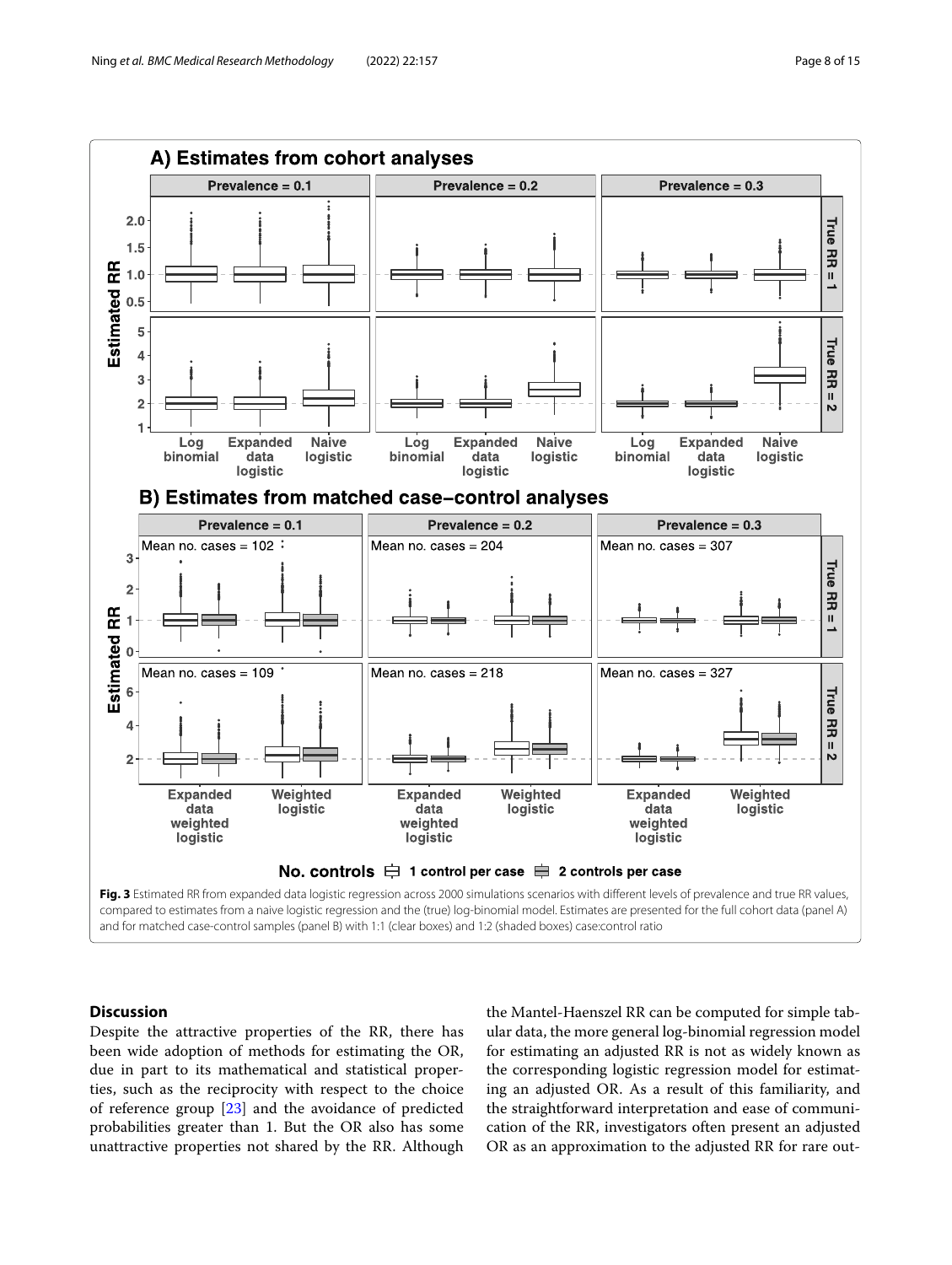

<span id="page-7-0"></span>compared to estimates from a naive logistic regression and the (true) log-binomial model. Estimates are presented for the full cohort data (panel A) and for matched case-control samples (panel B) with 1:1 (clear boxes) and 1:2 (shaded boxes) case:control ratio

## **Discussion**

Despite the attractive properties of the RR, there has been wide adoption of methods for estimating the OR, due in part to its mathematical and statistical properties, such as the reciprocity with respect to the choice of reference group [\[23\]](#page-14-20) and the avoidance of predicted probabilities greater than 1. But the OR also has some unattractive properties not shared by the RR. Although the Mantel-Haenszel RR can be computed for simple tabular data, the more general log-binomial regression model for estimating an adjusted RR is not as widely known as the corresponding logistic regression model for estimating an adjusted OR. As a result of this familiarity, and the straightforward interpretation and ease of communication of the RR, investigators often present an adjusted OR as an approximation to the adjusted RR for rare out-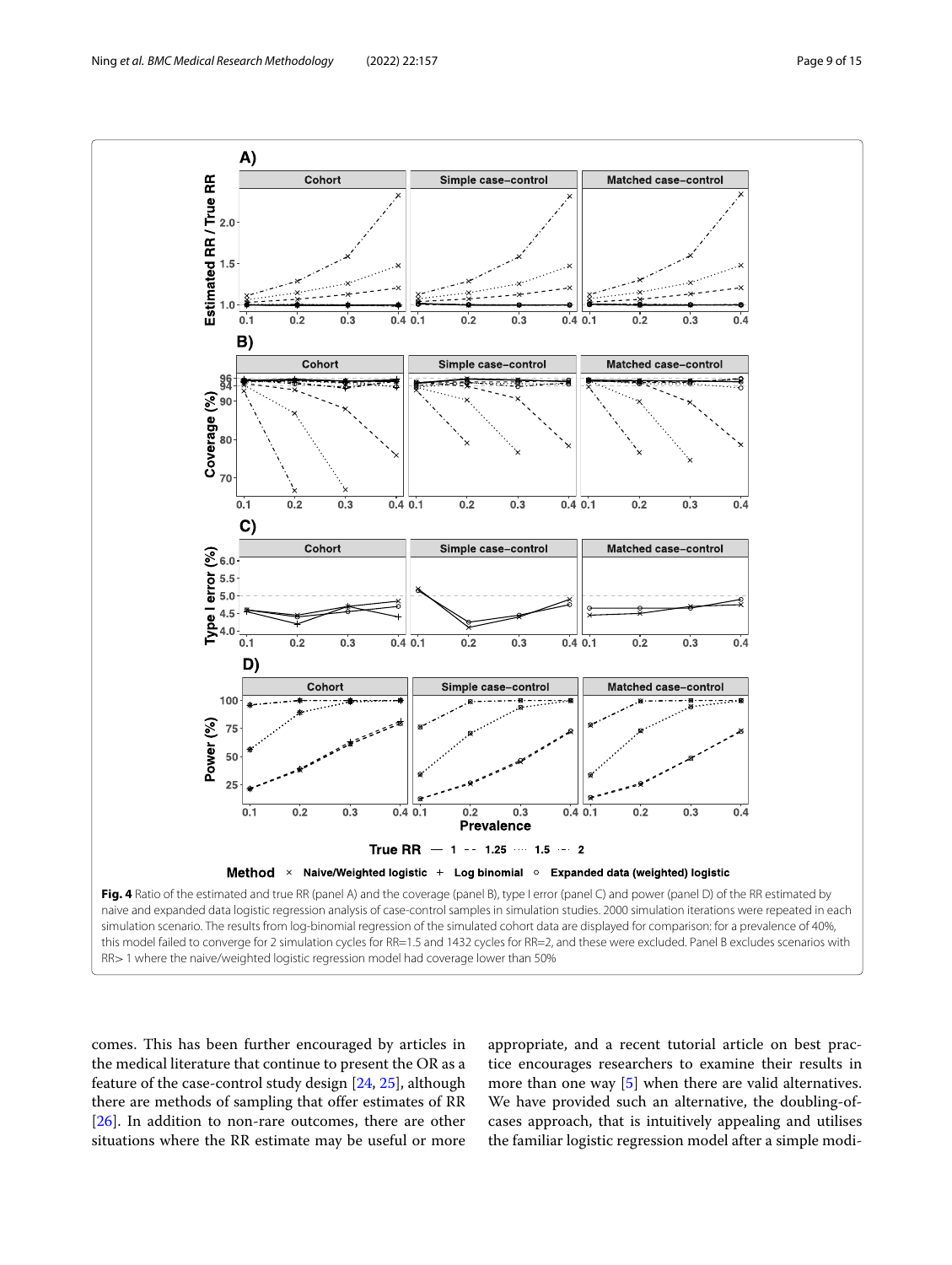

<span id="page-8-0"></span>simulation scenario. The results from log-binomial regression of the simulated cohort data are displayed for comparison: for a prevalence of 40%, this model failed to converge for 2 simulation cycles for RR=1.5 and 1432 cycles for RR=2, and these were excluded. Panel B excludes scenarios with RR>1 where the naive/weighted logistic regression model had coverage lower than 50%

comes. This has been further encouraged by articles in the medical literature that continue to present the OR as a feature of the case-control study design [\[24,](#page-14-21) [25\]](#page-14-22), although there are methods of sampling that offer estimates of RR [\[26\]](#page-14-23). In addition to non-rare outcomes, there are other situations where the RR estimate may be useful or more

appropriate, and a recent tutorial article on best practice encourages researchers to examine their results in more than one way [\[5\]](#page-14-4) when there are valid alternatives. We have provided such an alternative, the doubling-ofcases approach, that is intuitively appealing and utilises the familiar logistic regression model after a simple modi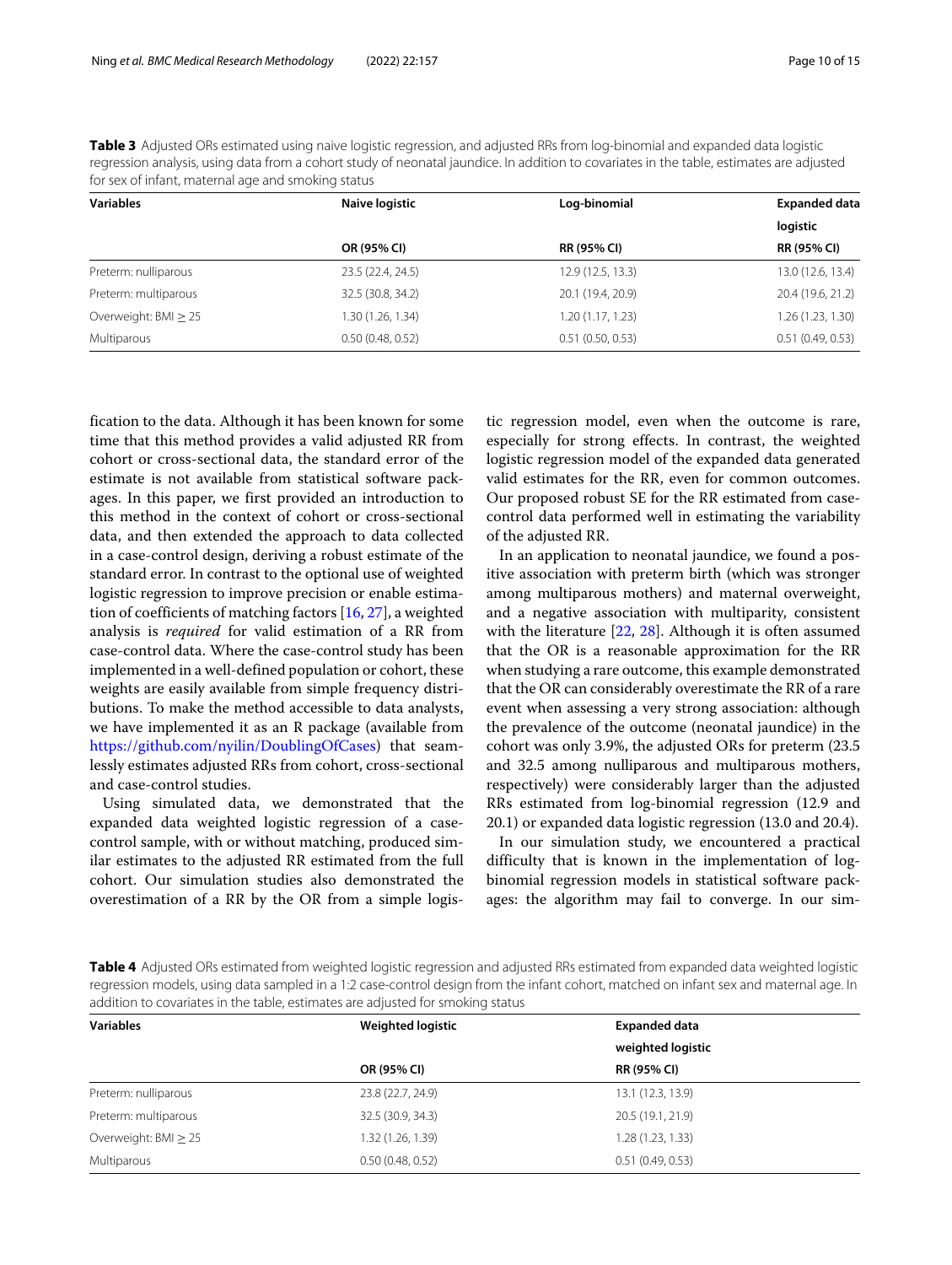<span id="page-9-0"></span>**Table 3** Adjusted ORs estimated using naive logistic regression, and adjusted RRs from log-binomial and expanded data logistic regression analysis, using data from a cohort study of neonatal jaundice. In addition to covariates in the table, estimates are adjusted for sex of infant, maternal age and smoking status

| <b>Variables</b>     | Naive logistic    | Log-binomial       | <b>Expanded data</b> |  |
|----------------------|-------------------|--------------------|----------------------|--|
|                      |                   |                    | logistic             |  |
|                      | OR (95% CI)       | <b>RR (95% CI)</b> | <b>RR (95% CI)</b>   |  |
| Preterm: nulliparous | 23.5 (22.4, 24.5) | 12.9(12.5, 13.3)   | 13.0 (12.6, 13.4)    |  |
| Preterm: multiparous | 32.5 (30.8, 34.2) | 20.1 (19.4, 20.9)  | 20.4 (19.6, 21.2)    |  |
| Overweight: BMI > 25 | 1.30 (1.26, 1.34) | 1.20(1.17, 1.23)   | 1.26 (1.23, 1.30)    |  |
| Multiparous          | 0.50(0.48, 0.52)  | 0.51(0.50, 0.53)   | 0.51(0.49, 0.53)     |  |

fication to the data. Although it has been known for some time that this method provides a valid adjusted RR from cohort or cross-sectional data, the standard error of the estimate is not available from statistical software packages. In this paper, we first provided an introduction to this method in the context of cohort or cross-sectional data, and then extended the approach to data collected in a case-control design, deriving a robust estimate of the standard error. In contrast to the optional use of weighted logistic regression to improve precision or enable estimation of coefficients of matching factors [\[16,](#page-14-15) [27\]](#page-14-24), a weighted analysis is *required* for valid estimation of a RR from case-control data. Where the case-control study has been implemented in a well-defined population or cohort, these weights are easily available from simple frequency distributions. To make the method accessible to data analysts, we have implemented it as an R package (available from [https://github.com/nyilin/DoublingOfCases\)](https://github.com/nyilin/DoublingOfCases) that seamlessly estimates adjusted RRs from cohort, cross-sectional and case-control studies.

Using simulated data, we demonstrated that the expanded data weighted logistic regression of a casecontrol sample, with or without matching, produced similar estimates to the adjusted RR estimated from the full cohort. Our simulation studies also demonstrated the overestimation of a RR by the OR from a simple logistic regression model, even when the outcome is rare, especially for strong effects. In contrast, the weighted logistic regression model of the expanded data generated valid estimates for the RR, even for common outcomes. Our proposed robust SE for the RR estimated from casecontrol data performed well in estimating the variability of the adjusted RR.

In an application to neonatal jaundice, we found a positive association with preterm birth (which was stronger among multiparous mothers) and maternal overweight, and a negative association with multiparity, consistent with the literature  $[22, 28]$  $[22, 28]$  $[22, 28]$ . Although it is often assumed that the OR is a reasonable approximation for the RR when studying a rare outcome, this example demonstrated that the OR can considerably overestimate the RR of a rare event when assessing a very strong association: although the prevalence of the outcome (neonatal jaundice) in the cohort was only 3.9%, the adjusted ORs for preterm (23.5 and 32.5 among nulliparous and multiparous mothers, respectively) were considerably larger than the adjusted RRs estimated from log-binomial regression (12.9 and 20.1) or expanded data logistic regression (13.0 and 20.4).

In our simulation study, we encountered a practical difficulty that is known in the implementation of logbinomial regression models in statistical software packages: the algorithm may fail to converge. In our sim-

<span id="page-9-1"></span>**Table 4** Adjusted ORs estimated from weighted logistic regression and adjusted RRs estimated from expanded data weighted logistic regression models, using data sampled in a 1:2 case-control design from the infant cohort, matched on infant sex and maternal age. In addition to covariates in the table, estimates are adjusted for smoking status

| <b>Variables</b>     | <b>Weighted logistic</b> | <b>Expanded data</b> |  |  |
|----------------------|--------------------------|----------------------|--|--|
|                      |                          | weighted logistic    |  |  |
|                      | OR (95% CI)              | RR (95% CI)          |  |  |
| Preterm: nulliparous | 23.8 (22.7, 24.9)        | 13.1 (12.3, 13.9)    |  |  |
| Preterm: multiparous | 32.5 (30.9, 34.3)        | 20.5 (19.1, 21.9)    |  |  |
| Overweight: BMI > 25 | 1.32 (1.26, 1.39)        | 1.28 (1.23, 1.33)    |  |  |
| Multiparous          | 0.50(0.48, 0.52)         | 0.51(0.49, 0.53)     |  |  |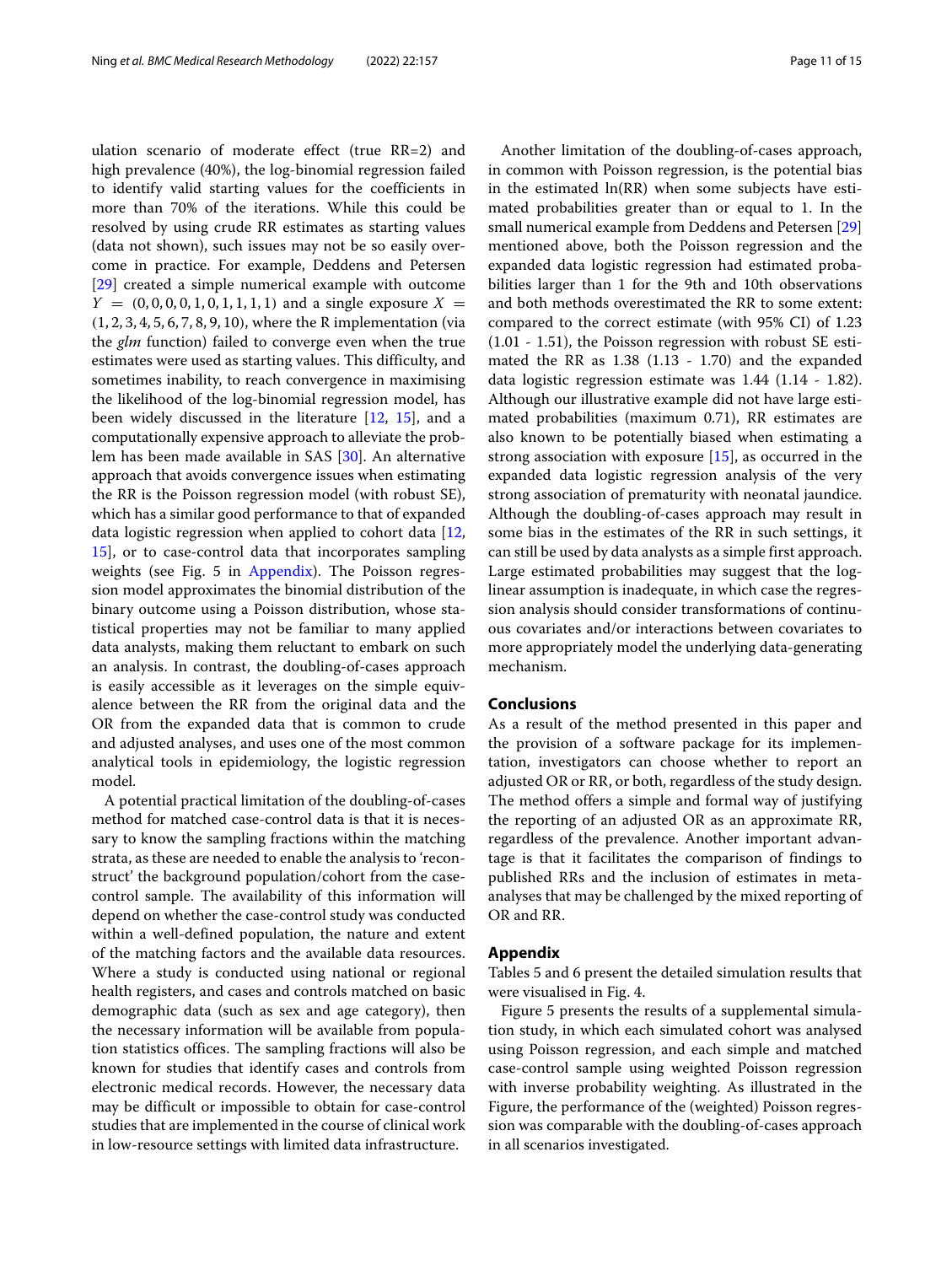ulation scenario of moderate effect (true RR=2) and high prevalence (40%), the log-binomial regression failed to identify valid starting values for the coefficients in more than 70% of the iterations. While this could be resolved by using crude RR estimates as starting values (data not shown), such issues may not be so easily overcome in practice. For example, Deddens and Petersen [\[29\]](#page-14-26) created a simple numerical example with outcome  $Y = (0, 0, 0, 0, 1, 0, 1, 1, 1, 1)$  and a single exposure  $X =$ (1, 2, 3, 4, 5, 6, 7, 8, 9, 10), where the R implementation (via the *glm* function) failed to converge even when the true estimates were used as starting values. This difficulty, and sometimes inability, to reach convergence in maximising the likelihood of the log-binomial regression model, has been widely discussed in the literature [\[12,](#page-14-11) [15\]](#page-14-14), and a computationally expensive approach to alleviate the problem has been made available in SAS [\[30\]](#page-14-27). An alternative approach that avoids convergence issues when estimating the RR is the Poisson regression model (with robust SE), which has a similar good performance to that of expanded data logistic regression when applied to cohort data [\[12,](#page-14-11) [15\]](#page-14-14), or to case-control data that incorporates sampling weights (see Fig. 5 in [Appendix\)](#page-10-0). The Poisson regression model approximates the binomial distribution of the binary outcome using a Poisson distribution, whose statistical properties may not be familiar to many applied data analysts, making them reluctant to embark on such an analysis. In contrast, the doubling-of-cases approach is easily accessible as it leverages on the simple equivalence between the RR from the original data and the OR from the expanded data that is common to crude and adjusted analyses, and uses one of the most common analytical tools in epidemiology, the logistic regression model.

A potential practical limitation of the doubling-of-cases method for matched case-control data is that it is necessary to know the sampling fractions within the matching strata, as these are needed to enable the analysis to 'reconstruct' the background population/cohort from the casecontrol sample. The availability of this information will depend on whether the case-control study was conducted within a well-defined population, the nature and extent of the matching factors and the available data resources. Where a study is conducted using national or regional health registers, and cases and controls matched on basic demographic data (such as sex and age category), then the necessary information will be available from population statistics offices. The sampling fractions will also be known for studies that identify cases and controls from electronic medical records. However, the necessary data may be difficult or impossible to obtain for case-control studies that are implemented in the course of clinical work in low-resource settings with limited data infrastructure.

Another limitation of the doubling-of-cases approach, in common with Poisson regression, is the potential bias in the estimated ln(RR) when some subjects have estimated probabilities greater than or equal to 1. In the small numerical example from Deddens and Petersen [\[29\]](#page-14-26) mentioned above, both the Poisson regression and the expanded data logistic regression had estimated probabilities larger than 1 for the 9th and 10th observations and both methods overestimated the RR to some extent: compared to the correct estimate (with 95% CI) of 1.23 (1.01 - 1.51), the Poisson regression with robust SE estimated the RR as  $1.38$  (1.13 - 1.70) and the expanded data logistic regression estimate was 1.44 (1.14 - 1.82). Although our illustrative example did not have large estimated probabilities (maximum 0.71), RR estimates are also known to be potentially biased when estimating a strong association with exposure [\[15\]](#page-14-14), as occurred in the expanded data logistic regression analysis of the very strong association of prematurity with neonatal jaundice. Although the doubling-of-cases approach may result in some bias in the estimates of the RR in such settings, it can still be used by data analysts as a simple first approach. Large estimated probabilities may suggest that the loglinear assumption is inadequate, in which case the regression analysis should consider transformations of continuous covariates and/or interactions between covariates to more appropriately model the underlying data-generating mechanism.

## **Conclusions**

As a result of the method presented in this paper and the provision of a software package for its implementation, investigators can choose whether to report an adjusted OR or RR, or both, regardless of the study design. The method offers a simple and formal way of justifying the reporting of an adjusted OR as an approximate RR, regardless of the prevalence. Another important advantage is that it facilitates the comparison of findings to published RRs and the inclusion of estimates in metaanalyses that may be challenged by the mixed reporting of OR and RR.

## **Appendix**

<span id="page-10-0"></span>Tables 5 and 6 present the detailed simulation results that were visualised in Fig. 4.

Figure 5 presents the results of a supplemental simulation study, in which each simulated cohort was analysed using Poisson regression, and each simple and matched case-control sample using weighted Poisson regression with inverse probability weighting. As illustrated in the Figure, the performance of the (weighted) Poisson regression was comparable with the doubling-of-cases approach in all scenarios investigated.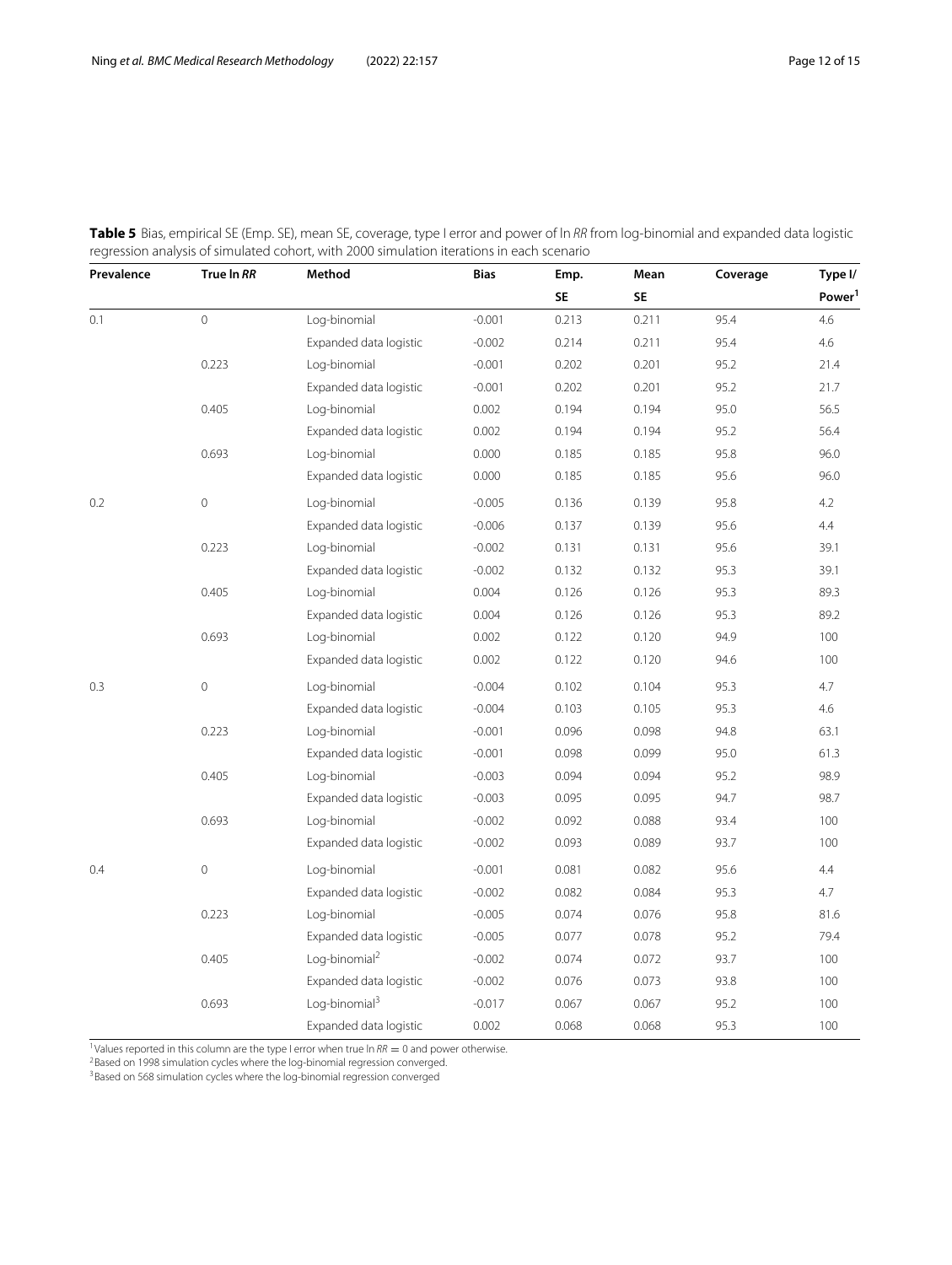| Prevalence | True In RR  | Method                    | <b>Bias</b> | Emp.      | Mean      | Coverage | Type I/            |
|------------|-------------|---------------------------|-------------|-----------|-----------|----------|--------------------|
|            |             |                           |             | <b>SE</b> | <b>SE</b> |          | Power <sup>1</sup> |
| 0.1        | $\circ$     | Log-binomial              | $-0.001$    | 0.213     | 0.211     | 95.4     | 4.6                |
|            |             | Expanded data logistic    | $-0.002$    | 0.214     | 0.211     | 95.4     | 4.6                |
|            | 0.223       | Log-binomial              | $-0.001$    | 0.202     | 0.201     | 95.2     | 21.4               |
|            |             | Expanded data logistic    | $-0.001$    | 0.202     | 0.201     | 95.2     | 21.7               |
|            | 0.405       | Log-binomial              | 0.002       | 0.194     | 0.194     | 95.0     | 56.5               |
|            |             | Expanded data logistic    | 0.002       | 0.194     | 0.194     | 95.2     | 56.4               |
|            | 0.693       | Log-binomial              | 0.000       | 0.185     | 0.185     | 95.8     | 96.0               |
|            |             | Expanded data logistic    | 0.000       | 0.185     | 0.185     | 95.6     | 96.0               |
| 0.2        | $\mathbf 0$ | Log-binomial              | $-0.005$    | 0.136     | 0.139     | 95.8     | 4.2                |
|            |             | Expanded data logistic    | $-0.006$    | 0.137     | 0.139     | 95.6     | 4.4                |
|            | 0.223       | Log-binomial              | $-0.002$    | 0.131     | 0.131     | 95.6     | 39.1               |
|            |             | Expanded data logistic    | $-0.002$    | 0.132     | 0.132     | 95.3     | 39.1               |
|            | 0.405       | Log-binomial              | 0.004       | 0.126     | 0.126     | 95.3     | 89.3               |
|            |             | Expanded data logistic    | 0.004       | 0.126     | 0.126     | 95.3     | 89.2               |
|            | 0.693       | Log-binomial              | 0.002       | 0.122     | 0.120     | 94.9     | 100                |
|            |             | Expanded data logistic    | 0.002       | 0.122     | 0.120     | 94.6     | 100                |
| 0.3        | $\mathbb O$ | Log-binomial              | $-0.004$    | 0.102     | 0.104     | 95.3     | 4.7                |
|            |             | Expanded data logistic    | $-0.004$    | 0.103     | 0.105     | 95.3     | 4.6                |
|            | 0.223       | Log-binomial              | $-0.001$    | 0.096     | 0.098     | 94.8     | 63.1               |
|            |             | Expanded data logistic    | $-0.001$    | 0.098     | 0.099     | 95.0     | 61.3               |
|            | 0.405       | Log-binomial              | $-0.003$    | 0.094     | 0.094     | 95.2     | 98.9               |
|            |             | Expanded data logistic    | $-0.003$    | 0.095     | 0.095     | 94.7     | 98.7               |
|            | 0.693       | Log-binomial              | $-0.002$    | 0.092     | 0.088     | 93.4     | 100                |
|            |             | Expanded data logistic    | $-0.002$    | 0.093     | 0.089     | 93.7     | 100                |
| 0.4        | $\mathbf 0$ | Log-binomial              | $-0.001$    | 0.081     | 0.082     | 95.6     | 4.4                |
|            |             | Expanded data logistic    | $-0.002$    | 0.082     | 0.084     | 95.3     | 4.7                |
|            | 0.223       | Log-binomial              | $-0.005$    | 0.074     | 0.076     | 95.8     | 81.6               |
|            |             | Expanded data logistic    | $-0.005$    | 0.077     | 0.078     | 95.2     | 79.4               |
|            | 0.405       | Log-binomial <sup>2</sup> | $-0.002$    | 0.074     | 0.072     | 93.7     | 100                |
|            |             | Expanded data logistic    | $-0.002$    | 0.076     | 0.073     | 93.8     | 100                |
|            | 0.693       | Log-binomial <sup>3</sup> | $-0.017$    | 0.067     | 0.067     | 95.2     | 100                |
|            |             | Expanded data logistic    | 0.002       | 0.068     | 0.068     | 95.3     | 100                |

**Table 5** Bias, empirical SE (Emp. SE), mean SE, coverage, type I error and power of ln RR from log-binomial and expanded data logistic regression analysis of simulated cohort, with 2000 simulation iterations in each scenario

<sup>1</sup>Values reported in this column are the type I error when true ln RR = 0 and power otherwise.<br><sup>2</sup>Based on 1998 simulation cycles where the log-binomial regression converged.

<sup>3</sup>Based on 568 simulation cycles where the log-binomial regression converged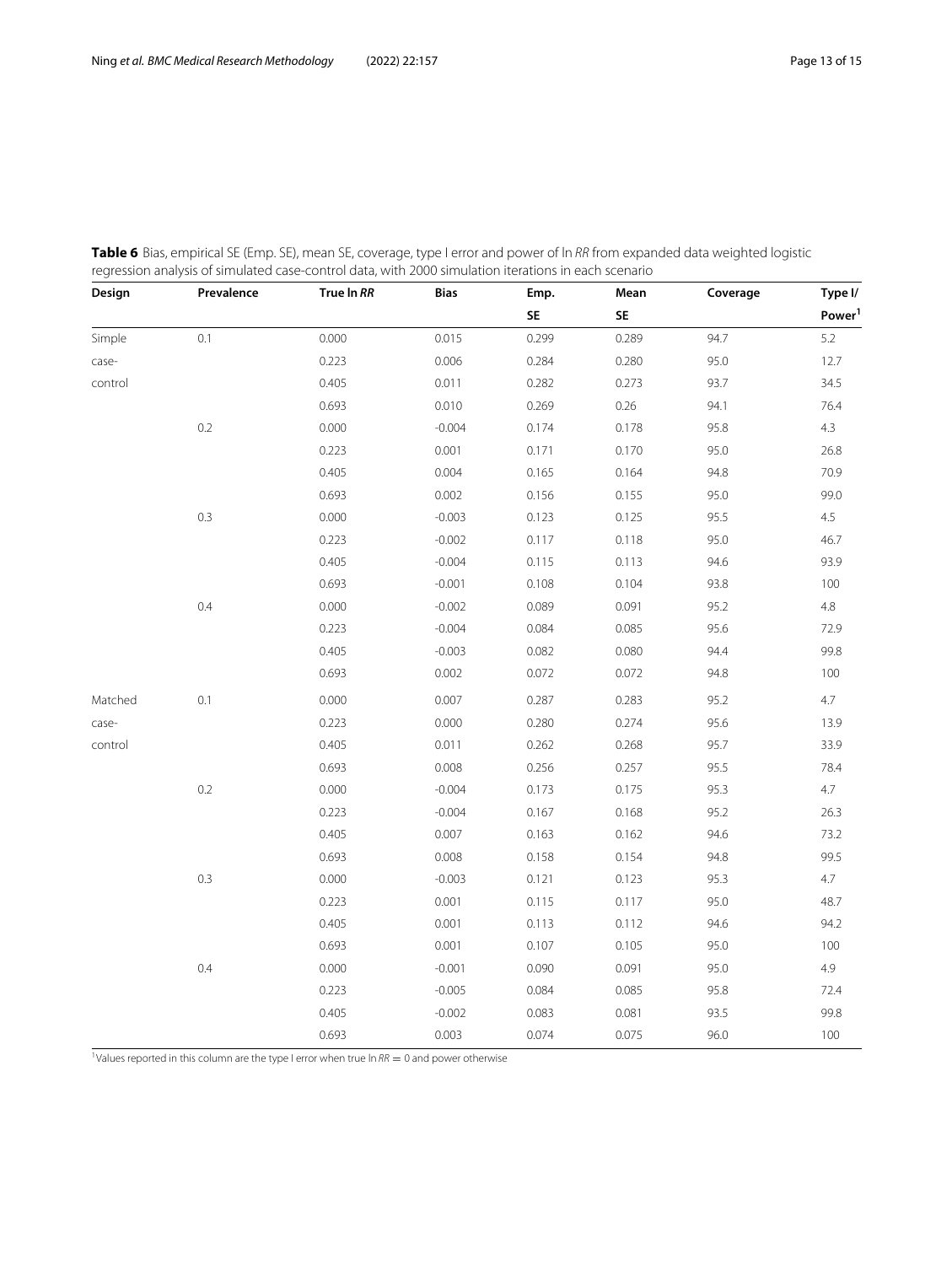| Design  | Prevalence | True In RR | <b>Bias</b> | Emp.  | Mean  | Coverage | Type I/            |
|---------|------------|------------|-------------|-------|-------|----------|--------------------|
|         |            |            |             | SE    | SE    |          | Power <sup>1</sup> |
| Simple  | 0.1        | 0.000      | 0.015       | 0.299 | 0.289 | 94.7     | 5.2                |
| case-   |            | 0.223      | 0.006       | 0.284 | 0.280 | 95.0     | 12.7               |
| control |            | 0.405      | 0.011       | 0.282 | 0.273 | 93.7     | 34.5               |
|         |            | 0.693      | 0.010       | 0.269 | 0.26  | 94.1     | 76.4               |
|         | 0.2        | 0.000      | $-0.004$    | 0.174 | 0.178 | 95.8     | 4.3                |
|         |            | 0.223      | 0.001       | 0.171 | 0.170 | 95.0     | 26.8               |
|         |            | 0.405      | 0.004       | 0.165 | 0.164 | 94.8     | 70.9               |
|         |            | 0.693      | 0.002       | 0.156 | 0.155 | 95.0     | 99.0               |
|         | 0.3        | 0.000      | $-0.003$    | 0.123 | 0.125 | 95.5     | 4.5                |
|         |            | 0.223      | $-0.002$    | 0.117 | 0.118 | 95.0     | 46.7               |
|         |            | 0.405      | $-0.004$    | 0.115 | 0.113 | 94.6     | 93.9               |
|         |            | 0.693      | $-0.001$    | 0.108 | 0.104 | 93.8     | 100                |
|         | 0.4        | 0.000      | $-0.002$    | 0.089 | 0.091 | 95.2     | 4.8                |
|         |            | 0.223      | $-0.004$    | 0.084 | 0.085 | 95.6     | 72.9               |
|         |            | 0.405      | $-0.003$    | 0.082 | 0.080 | 94.4     | 99.8               |
|         |            | 0.693      | 0.002       | 0.072 | 0.072 | 94.8     | 100                |
| Matched | 0.1        | 0.000      | 0.007       | 0.287 | 0.283 | 95.2     | 4.7                |
| case-   |            | 0.223      | 0.000       | 0.280 | 0.274 | 95.6     | 13.9               |
| control |            | 0.405      | 0.011       | 0.262 | 0.268 | 95.7     | 33.9               |
|         |            | 0.693      | 0.008       | 0.256 | 0.257 | 95.5     | 78.4               |
|         | 0.2        | 0.000      | $-0.004$    | 0.173 | 0.175 | 95.3     | 4.7                |
|         |            | 0.223      | $-0.004$    | 0.167 | 0.168 | 95.2     | 26.3               |
|         |            | 0.405      | 0.007       | 0.163 | 0.162 | 94.6     | 73.2               |
|         |            | 0.693      | 0.008       | 0.158 | 0.154 | 94.8     | 99.5               |
|         | 0.3        | 0.000      | $-0.003$    | 0.121 | 0.123 | 95.3     | 4.7                |
|         |            | 0.223      | 0.001       | 0.115 | 0.117 | 95.0     | 48.7               |
|         |            | 0.405      | 0.001       | 0.113 | 0.112 | 94.6     | 94.2               |
|         |            | 0.693      | 0.001       | 0.107 | 0.105 | 95.0     | $100\,$            |
|         | 0.4        | 0.000      | $-0.001$    | 0.090 | 0.091 | 95.0     | 4.9                |
|         |            | 0.223      | $-0.005$    | 0.084 | 0.085 | 95.8     | 72.4               |
|         |            | 0.405      | $-0.002$    | 0.083 | 0.081 | 93.5     | 99.8               |
|         |            | 0.693      | 0.003       | 0.074 | 0.075 | 96.0     | 100                |

**Table 6** Bias, empirical SE (Emp. SE), mean SE, coverage, type I error and power of ln RR from expanded data weighted logistic regression analysis of simulated case-control data, with 2000 simulation iterations in each scenario

<sup>1</sup>Values reported in this column are the type I error when true ln  $RR = 0$  and power otherwise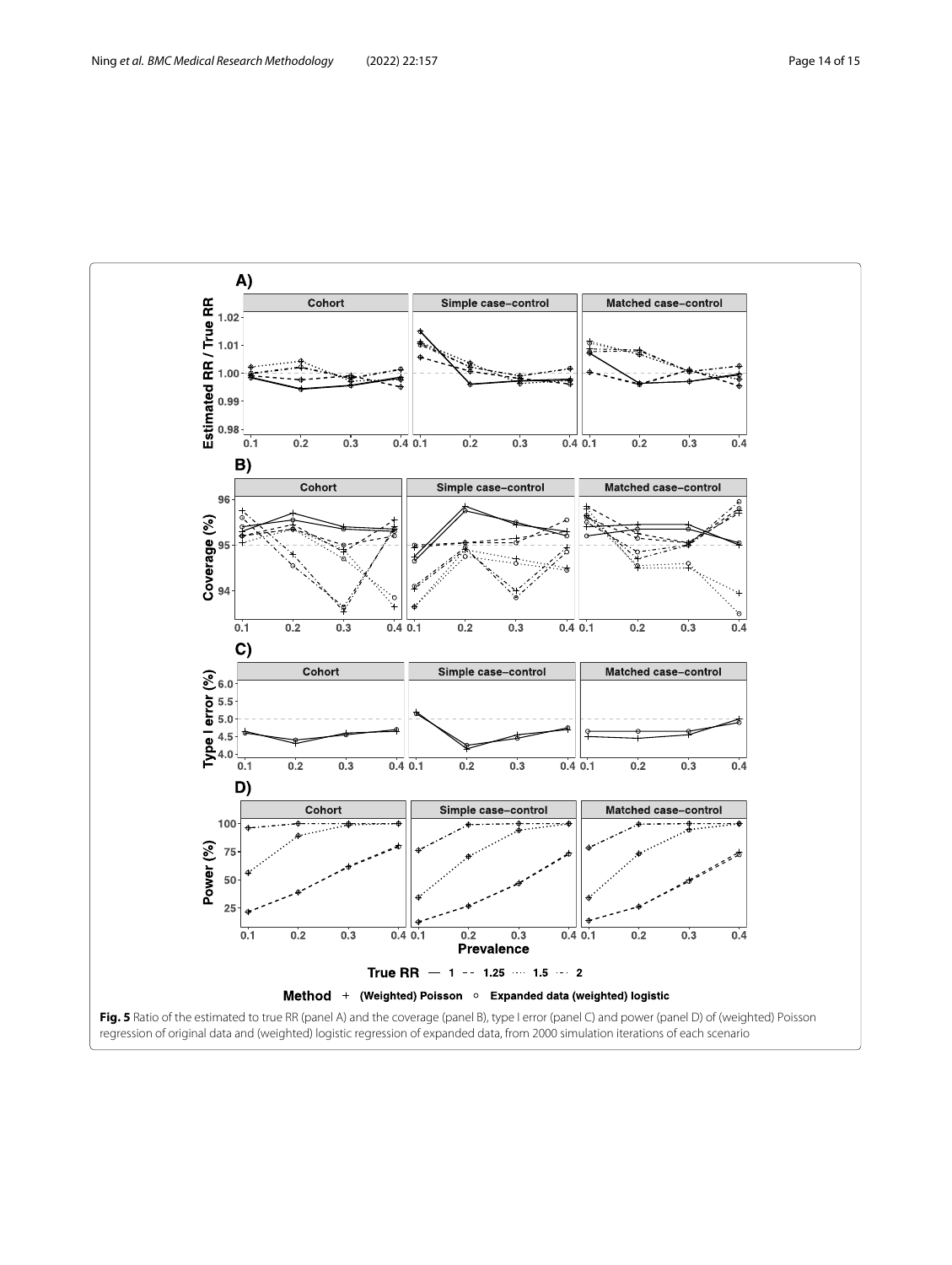